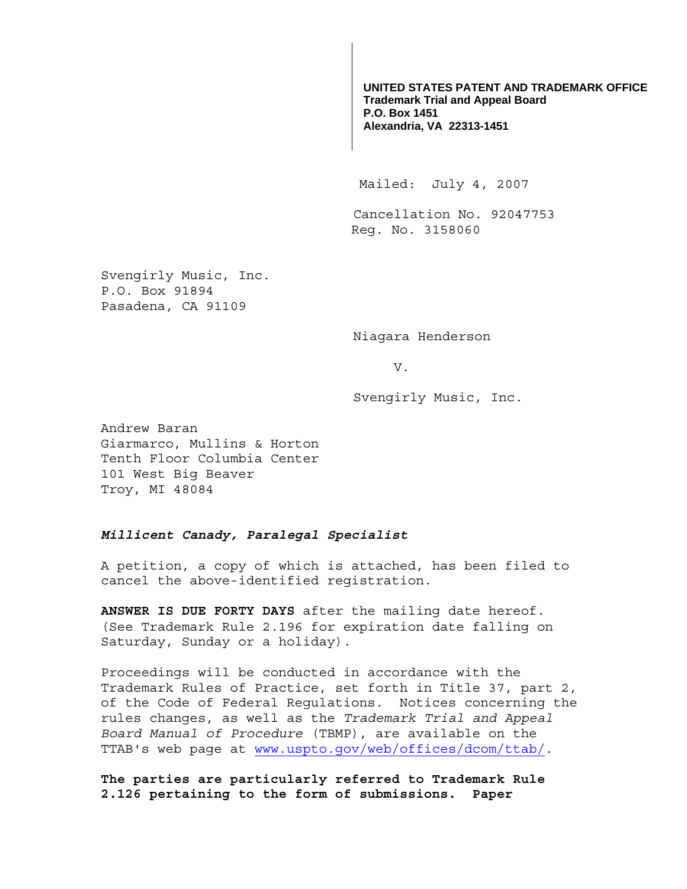**UNITED STATES PATENT AND TRADEMARK OFFICE Trademark Trial and Appeal Board P.O. Box 1451 Alexandria, VA 22313-1451**

Mailed: July 4, 2007

Cancellation No. 92047753 Reg. No. 3158060

Svengirly Music, Inc. P.O. Box 91894 Pasadena, CA 91109

Niagara Henderson

V.

Svengirly Music, Inc.

Andrew Baran Giarmarco, Mullins & Horton Tenth Floor Columbia Center 101 West Big Beaver Troy, MI 48084

## *Millicent Canady, Paralegal Specialist*

A petition, a copy of which is attached, has been filed to cancel the above-identified registration.

**ANSWER IS DUE FORTY DAYS** after the mailing date hereof. (See Trademark Rule 2.196 for expiration date falling on Saturday, Sunday or a holiday).

Proceedings will be conducted in accordance with the Trademark Rules of Practice, set forth in Title 37, part 2, of the Code of Federal Regulations. Notices concerning the rules changes, as well as the *Trademark Trial and Appeal Board Manual of Procedure* (TBMP), are available on the TTAB's web page at www.uspto.gov/web/offices/dcom/ttab/.

**The parties are particularly referred to Trademark Rule 2.126 pertaining to the form of submissions. Paper**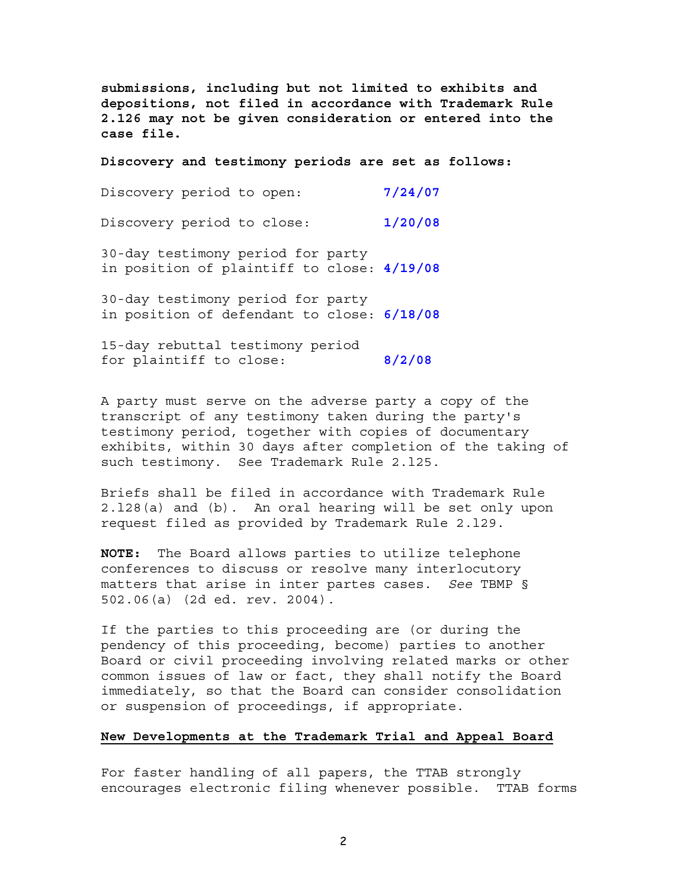**submissions, including but not limited to exhibits and depositions, not filed in accordance with Trademark Rule 2.126 may not be given consideration or entered into the case file.** 

**Discovery and testimony periods are set as follows:**

| Discovery period to open: |  | 7/24/07 |
|---------------------------|--|---------|
|                           |  |         |

Discovery period to close: **1/20/08**

30-day testimony period for party in position of plaintiff to close: **4/19/08**

30-day testimony period for party in position of defendant to close: **6/18/08**

15-day rebuttal testimony period for plaintiff to close: **8/2/08**

A party must serve on the adverse party a copy of the transcript of any testimony taken during the party's testimony period, together with copies of documentary exhibits, within 30 days after completion of the taking of such testimony. See Trademark Rule 2.l25.

Briefs shall be filed in accordance with Trademark Rule 2.l28(a) and (b). An oral hearing will be set only upon request filed as provided by Trademark Rule 2.l29.

**NOTE:** The Board allows parties to utilize telephone conferences to discuss or resolve many interlocutory matters that arise in inter partes cases. *See* TBMP § 502.06(a) (2d ed. rev. 2004).

If the parties to this proceeding are (or during the pendency of this proceeding, become) parties to another Board or civil proceeding involving related marks or other common issues of law or fact, they shall notify the Board immediately, so that the Board can consider consolidation or suspension of proceedings, if appropriate.

## **New Developments at the Trademark Trial and Appeal Board**

For faster handling of all papers, the TTAB strongly encourages electronic filing whenever possible. TTAB forms